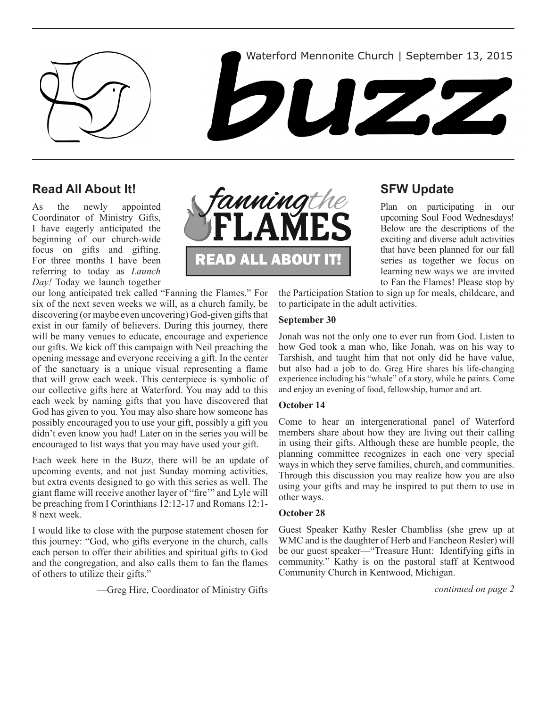



### **Read All About It!**

As the newly appointed Coordinator of Ministry Gifts, I have eagerly anticipated the beginning of our church-wide focus on gifts and gifting. For three months I have been referring to today as *Launch Day!* Today we launch together

our long anticipated trek called "Fanning the Flames." For six of the next seven weeks we will, as a church family, be discovering (or maybe even uncovering) God-given gifts that exist in our family of believers. During this journey, there will be many venues to educate, encourage and experience our gifts. We kick off this campaign with Neil preaching the opening message and everyone receiving a gift. In the center of the sanctuary is a unique visual representing a flame that will grow each week. This centerpiece is symbolic of our collective gifts here at Waterford. You may add to this each week by naming gifts that you have discovered that God has given to you. You may also share how someone has possibly encouraged you to use your gift, possibly a gift you didn't even know you had! Later on in the series you will be encouraged to list ways that you may have used your gift.

Each week here in the Buzz, there will be an update of upcoming events, and not just Sunday morning activities, but extra events designed to go with this series as well. The giant flame will receive another layer of "fire'" and Lyle will be preaching from I Corinthians 12:12-17 and Romans 12:1- 8 next week.

I would like to close with the purpose statement chosen for this journey: "God, who gifts everyone in the church, calls each person to offer their abilities and spiritual gifts to God and the congregation, and also calls them to fan the flames of others to utilize their gifts."

—Greg Hire, Coordinator of Ministry Gifts



# **SFW Update**

Plan on participating in our upcoming Soul Food Wednesdays! Below are the descriptions of the exciting and diverse adult activities that have been planned for our fall series as together we focus on learning new ways we are invited to Fan the Flames! Please stop by

the Participation Station to sign up for meals, childcare, and to participate in the adult activities.

### **September 30**

Jonah was not the only one to ever run from God. Listen to how God took a man who, like Jonah, was on his way to Tarshish, and taught him that not only did he have value, but also had a job to do. Greg Hire shares his life-changing experience including his "whale" of a story, while he paints. Come and enjoy an evening of food, fellowship, humor and art.

#### **October 14**

Come to hear an intergenerational panel of Waterford members share about how they are living out their calling in using their gifts. Although these are humble people, the planning committee recognizes in each one very special ways in which they serve families, church, and communities. Through this discussion you may realize how you are also using your gifts and may be inspired to put them to use in other ways.

#### **October 28**

Guest Speaker Kathy Resler Chambliss (she grew up at WMC and is the daughter of Herb and Fancheon Resler) will be our guest speaker—"Treasure Hunt: Identifying gifts in community." Kathy is on the pastoral staff at Kentwood Community Church in Kentwood, Michigan.

*continued on page 2*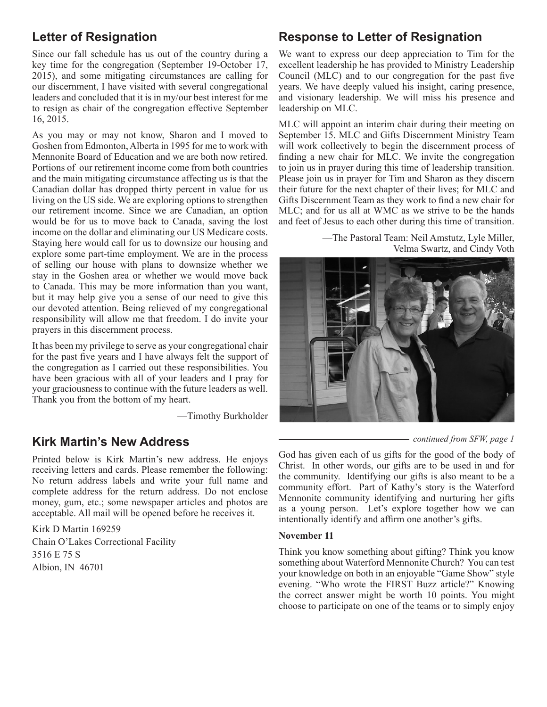# **Letter of Resignation**

Since our fall schedule has us out of the country during a key time for the congregation (September 19-October 17, 2015), and some mitigating circumstances are calling for our discernment, I have visited with several congregational leaders and concluded that it is in my/our best interest for me to resign as chair of the congregation effective September 16, 2015.

As you may or may not know, Sharon and I moved to Goshen from Edmonton, Alberta in 1995 for me to work with Mennonite Board of Education and we are both now retired. Portions of our retirement income come from both countries and the main mitigating circumstance affecting us is that the Canadian dollar has dropped thirty percent in value for us living on the US side. We are exploring options to strengthen our retirement income. Since we are Canadian, an option would be for us to move back to Canada, saving the lost income on the dollar and eliminating our US Medicare costs. Staying here would call for us to downsize our housing and explore some part-time employment. We are in the process of selling our house with plans to downsize whether we stay in the Goshen area or whether we would move back to Canada. This may be more information than you want, but it may help give you a sense of our need to give this our devoted attention. Being relieved of my congregational responsibility will allow me that freedom. I do invite your prayers in this discernment process.

It has been my privilege to serve as your congregational chair for the past five years and I have always felt the support of the congregation as I carried out these responsibilities. You have been gracious with all of your leaders and I pray for your graciousness to continue with the future leaders as well. Thank you from the bottom of my heart.

—Timothy Burkholder

## **Kirk Martin's New Address**

Printed below is Kirk Martin's new address. He enjoys receiving letters and cards. Please remember the following: No return address labels and write your full name and complete address for the return address. Do not enclose money, gum, etc.; some newspaper articles and photos are acceptable. All mail will be opened before he receives it.

Kirk D Martin 169259 Chain O'Lakes Correctional Facility 3516 E 75 S Albion, IN 46701

## **Response to Letter of Resignation**

We want to express our deep appreciation to Tim for the excellent leadership he has provided to Ministry Leadership Council (MLC) and to our congregation for the past five years. We have deeply valued his insight, caring presence, and visionary leadership. We will miss his presence and leadership on MLC.

MLC will appoint an interim chair during their meeting on September 15. MLC and Gifts Discernment Ministry Team will work collectively to begin the discernment process of finding a new chair for MLC. We invite the congregation to join us in prayer during this time of leadership transition. Please join us in prayer for Tim and Sharon as they discern their future for the next chapter of their lives; for MLC and Gifts Discernment Team as they work to find a new chair for MLC; and for us all at WMC as we strive to be the hands and feet of Jesus to each other during this time of transition.

> —The Pastoral Team: Neil Amstutz, Lyle Miller, Velma Swartz, and Cindy Voth



*continued from SFW, page 1*

God has given each of us gifts for the good of the body of Christ. In other words, our gifts are to be used in and for the community. Identifying our gifts is also meant to be a community effort. Part of Kathy's story is the Waterford Mennonite community identifying and nurturing her gifts as a young person. Let's explore together how we can intentionally identify and affirm one another's gifts.

### **November 11**

Think you know something about gifting? Think you know something about Waterford Mennonite Church? You can test your knowledge on both in an enjoyable "Game Show" style evening. "Who wrote the FIRST Buzz article?" Knowing the correct answer might be worth 10 points. You might choose to participate on one of the teams or to simply enjoy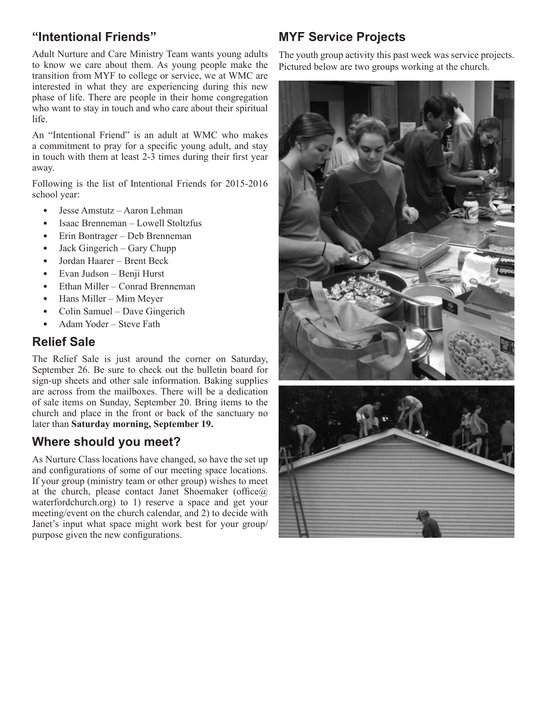# **"Intentional Friends"**

Adult Nurture and Care Ministry Team wants young adults to know we care about them. As young people make the transition from MYF to college or service, we at WMC are interested in what they are experiencing during this new phase of life. There are people in their home congregation who want to stay in touch and who care about their spiritual life.

An "Intentional Friend" is an adult at WMC who makes a commitment to pray for a specific young adult, and stay in touch with them at least 2-3 times during their first year away.

Following is the list of Intentional Friends for 2015-2016 school year:

- Jesse Amstutz Aaron Lehman
- Isaac Brenneman Lowell Stoltzfus
- Erin Bontrager Deb Brenneman
- Jack Gingerich Gary Chupp
- • Jordan Haarer Brent Beck
- Evan Judson Benii Hurst
- Ethan Miller Conrad Brenneman
- Hans Miller Mim Meyer
- Colin Samuel Dave Gingerich
- Adam Yoder Steve Fath

## **Relief Sale**

The Relief Sale is just around the corner on Saturday, September 26. Be sure to check out the bulletin board for sign-up sheets and other sale information. Baking supplies are across from the mailboxes. There will be a dedication of sale items on Sunday, September 20. Bring items to the church and place in the front or back of the sanctuary no later than **Saturday morning, September 19.**

# **Where should you meet?**

As Nurture Class locations have changed, so have the set up and configurations of some of our meeting space locations. If your group (ministry team or other group) wishes to meet at the church, please contact Janet Shoemaker (office $@$ ) waterfordchurch.org) to 1) reserve a space and get your meeting/event on the church calendar, and 2) to decide with Janet's input what space might work best for your group/ purpose given the new configurations.

# **MYF Service Projects**

The youth group activity this past week was service projects. Pictured below are two groups working at the church.